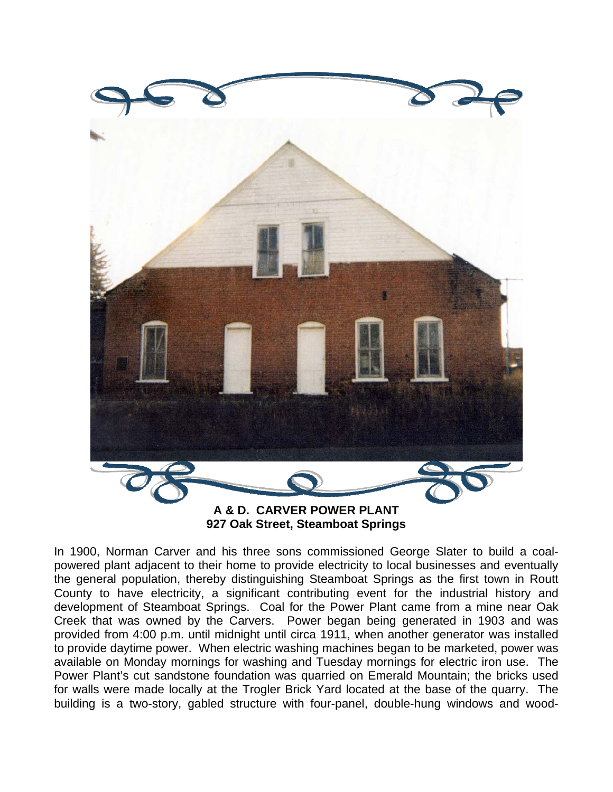

**927 Oak Street, Steamboat Springs** 

In 1900, Norman Carver and his three sons commissioned George Slater to build a coalpowered plant adjacent to their home to provide electricity to local businesses and eventually the general population, thereby distinguishing Steamboat Springs as the first town in Routt County to have electricity, a significant contributing event for the industrial history and development of Steamboat Springs. Coal for the Power Plant came from a mine near Oak Creek that was owned by the Carvers. Power began being generated in 1903 and was provided from 4:00 p.m. until midnight until circa 1911, when another generator was installed to provide daytime power. When electric washing machines began to be marketed, power was available on Monday mornings for washing and Tuesday mornings for electric iron use. The Power Plant's cut sandstone foundation was quarried on Emerald Mountain; the bricks used for walls were made locally at the Trogler Brick Yard located at the base of the quarry. The building is a two-story, gabled structure with four-panel, double-hung windows and wood-